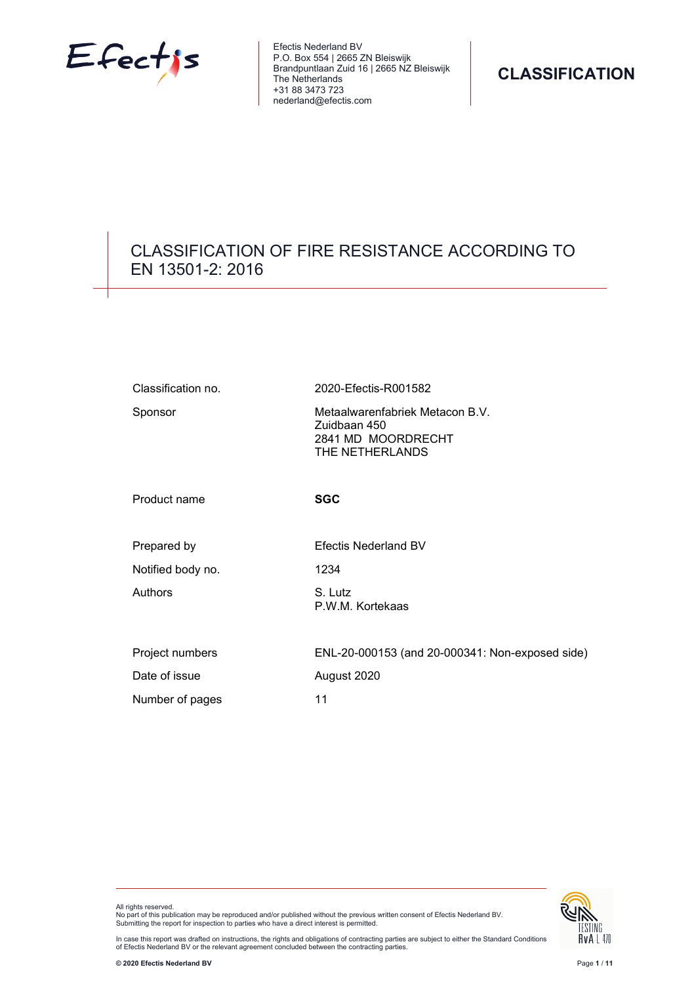

Efectis Nederland BV P.O. Box 554 | 2665 ZN Bleiswijk Brandpuntlaan Zuid 16 | 2665 NZ Bleiswijk The Netherlands +31 88 3473 723 nederland@efectis.com

# CLASSIFICATION OF FIRE RESISTANCE ACCORDING TO EN 13501-2: 2016

| Classification no. | 2020-Efectis-R001582                                                                     |
|--------------------|------------------------------------------------------------------------------------------|
| Sponsor            | Metaalwarenfabriek Metacon B.V.<br>Zuidbaan 450<br>2841 MD MOORDRECHT<br>THE NETHERLANDS |
| Product name       | <b>SGC</b>                                                                               |
| Prepared by        | <b>Efectis Nederland BV</b>                                                              |
| Notified body no.  | 1234                                                                                     |
| Authors            | S. Lutz<br>P.W.M. Kortekaas                                                              |
| Project numbers    | ENL-20-000153 (and 20-000341: Non-exposed side)                                          |
| Date of issue      | August 2020                                                                              |
| Number of pages    | 11                                                                                       |





In case this report was drafted on instructions, the rights and obligations of contracting parties are subject to either the Standard Conditions<br>of Efectis Nederland BV or the relevant agreement concluded between the contr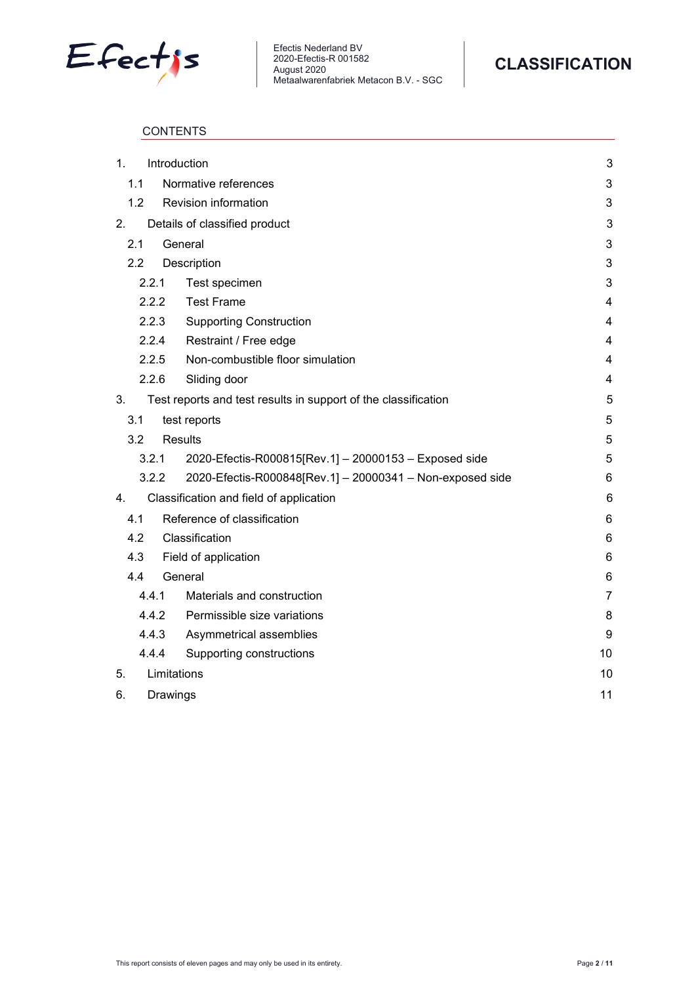



# **CONTENTS**

| 1. |     |             | Introduction                                                   | 3              |
|----|-----|-------------|----------------------------------------------------------------|----------------|
|    | 1.1 |             | Normative references                                           | 3              |
|    | 1.2 |             | Revision information                                           | 3              |
| 2. |     |             | Details of classified product                                  | 3              |
|    | 2.1 |             | General                                                        | 3              |
|    | 2.2 |             | Description                                                    | 3              |
|    |     | 2.2.1       | Test specimen                                                  | 3              |
|    |     | 2.2.2       | <b>Test Frame</b>                                              | $\overline{4}$ |
|    |     | 2.2.3       | <b>Supporting Construction</b>                                 | $\overline{4}$ |
|    |     | 2.2.4       | Restraint / Free edge                                          | 4              |
|    |     | 2.2.5       | Non-combustible floor simulation                               | $\overline{4}$ |
|    |     | 2.2.6       | Sliding door                                                   | 4              |
| 3. |     |             | Test reports and test results in support of the classification | 5              |
|    | 3.1 |             | test reports                                                   | 5              |
|    | 3.2 |             | <b>Results</b>                                                 | 5              |
|    |     | 3.2.1       | 2020-Efectis-R000815[Rev.1] - 20000153 - Exposed side          | 5              |
|    |     | 3.2.2       | 2020-Efectis-R000848[Rev.1] - 20000341 - Non-exposed side      | 6              |
| 4. |     |             | Classification and field of application                        | 6              |
|    | 4.1 |             | Reference of classification                                    | 6              |
|    | 4.2 |             | Classification                                                 | 6              |
|    | 4.3 |             | Field of application                                           | 6              |
|    | 4.4 |             | General                                                        | 6              |
|    |     | 4.4.1       | Materials and construction                                     | 7              |
|    |     | 4.4.2       | Permissible size variations                                    | 8              |
|    |     | 4.4.3       | Asymmetrical assemblies                                        | 9              |
|    |     | 4.4.4       | Supporting constructions                                       | 10             |
| 5. |     | Limitations |                                                                | 10             |
| 6. |     | Drawings    |                                                                | 11             |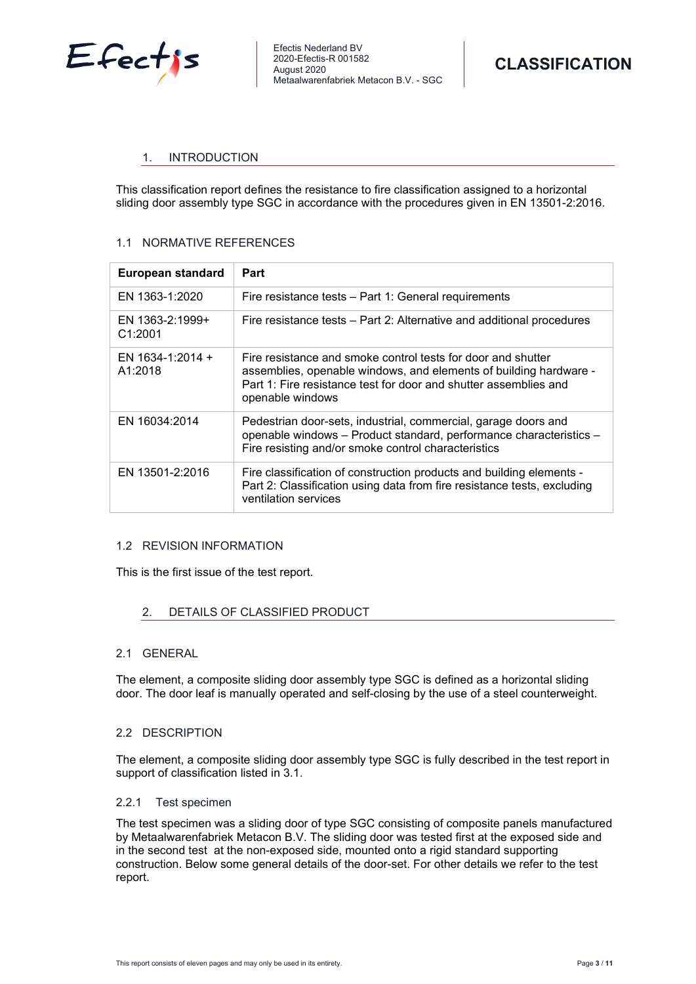

# <span id="page-2-0"></span>1. INTRODUCTION

This classification report defines the resistance to fire classification assigned to a horizontal sliding door assembly type SGC in accordance with the procedures given in EN 13501-2:2016.

# <span id="page-2-1"></span>1.1 NORMATIVE REFERENCES

| European standard           | Part                                                                                                                                                                                                                      |
|-----------------------------|---------------------------------------------------------------------------------------------------------------------------------------------------------------------------------------------------------------------------|
| EN 1363-1:2020              | Fire resistance tests – Part 1: General requirements                                                                                                                                                                      |
| EN 1363-2:1999+<br>C1:2001  | Fire resistance tests – Part 2: Alternative and additional procedures                                                                                                                                                     |
| EN 1634-1:2014 +<br>A1:2018 | Fire resistance and smoke control tests for door and shutter<br>assemblies, openable windows, and elements of building hardware -<br>Part 1: Fire resistance test for door and shutter assemblies and<br>openable windows |
| EN 16034:2014               | Pedestrian door-sets, industrial, commercial, garage doors and<br>openable windows - Product standard, performance characteristics -<br>Fire resisting and/or smoke control characteristics                               |
| EN 13501-2:2016             | Fire classification of construction products and building elements -<br>Part 2: Classification using data from fire resistance tests, excluding<br>ventilation services                                                   |

# <span id="page-2-2"></span>1.2 REVISION INFORMATION

<span id="page-2-3"></span>This is the first issue of the test report.

# 2. DETAILS OF CLASSIFIED PRODUCT

# <span id="page-2-4"></span>2.1 GENERAL

<span id="page-2-5"></span>The element, a composite sliding door assembly type SGC is defined as a horizontal sliding door. The door leaf is manually operated and self-closing by the use of a steel counterweight.

#### 2.2 DESCRIPTION

The element, a composite sliding door assembly type SGC is fully described in the test report in support of classification listed in 3.1.

#### <span id="page-2-6"></span>2.2.1 Test specimen

The test specimen was a sliding door of type SGC consisting of composite panels manufactured by Metaalwarenfabriek Metacon B.V. The sliding door was tested first at the exposed side and in the second test at the non-exposed side, mounted onto a rigid standard supporting construction. Below some general details of the door-set. For other details we refer to the test report.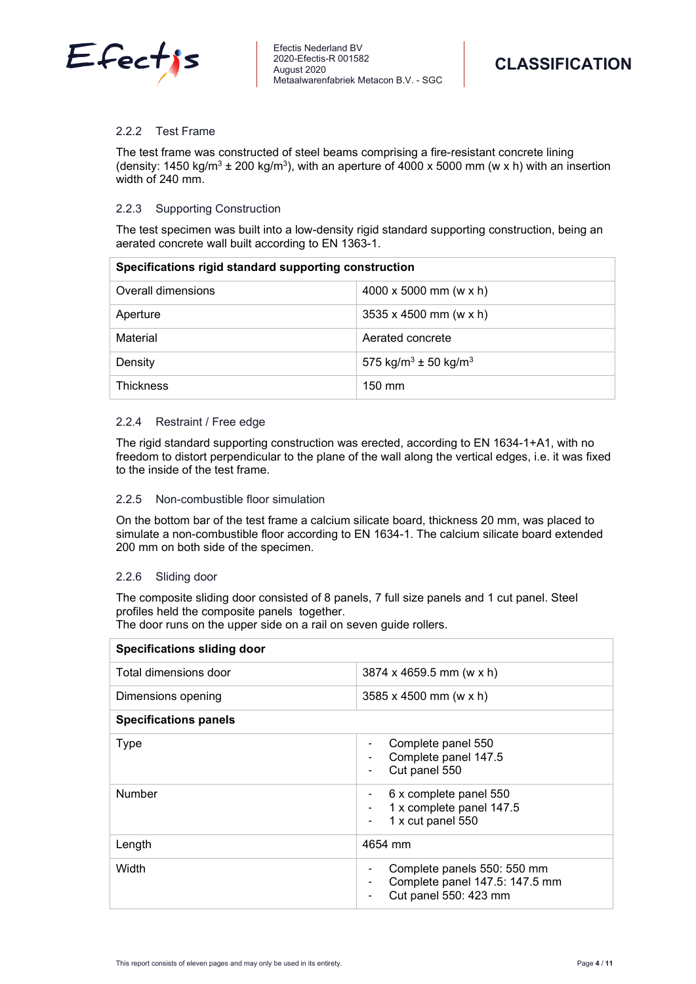

## <span id="page-3-0"></span>2.2.2 Test Frame

The test frame was constructed of steel beams comprising a fire-resistant concrete lining (density: 1450 kg/m<sup>3</sup> ± 200 kg/m<sup>3</sup>), with an aperture of 4000 x 5000 mm (w x h) with an insertion width of 240 mm.

## <span id="page-3-1"></span>2.2.3 Supporting Construction

The test specimen was built into a low-density rigid standard supporting construction, being an aerated concrete wall built according to EN 1363-1.

| Specifications rigid standard supporting construction |                                              |  |
|-------------------------------------------------------|----------------------------------------------|--|
| Overall dimensions                                    | 4000 x 5000 mm (w x h)                       |  |
| Aperture                                              | $3535 \times 4500$ mm (w x h)                |  |
| Material                                              | Aerated concrete                             |  |
| Density                                               | 575 kg/m <sup>3</sup> ± 50 kg/m <sup>3</sup> |  |
| <b>Thickness</b>                                      | $150 \text{ mm}$                             |  |

# <span id="page-3-2"></span>2.2.4 Restraint / Free edge

The rigid standard supporting construction was erected, according to EN 1634-1+A1, with no freedom to distort perpendicular to the plane of the wall along the vertical edges, i.e. it was fixed to the inside of the test frame.

# <span id="page-3-3"></span>2.2.5 Non-combustible floor simulation

On the bottom bar of the test frame a calcium silicate board, thickness 20 mm, was placed to simulate a non-combustible floor according to EN 1634-1. The calcium silicate board extended 200 mm on both side of the specimen.

# <span id="page-3-4"></span>2.2.6 Sliding door

The composite sliding door consisted of 8 panels, 7 full size panels and 1 cut panel. Steel profiles held the composite panels together.

The door runs on the upper side on a rail on seven guide rollers.

| <b>Specifications sliding door</b> |                                                                                                                                                                            |
|------------------------------------|----------------------------------------------------------------------------------------------------------------------------------------------------------------------------|
| Total dimensions door              | 3874 x 4659.5 mm (w x h)                                                                                                                                                   |
| Dimensions opening                 | $3585 \times 4500$ mm (w x h)                                                                                                                                              |
| <b>Specifications panels</b>       |                                                                                                                                                                            |
| <b>Type</b>                        | Complete panel 550<br>$\overline{\phantom{a}}$<br>Complete panel 147.5<br>Cut panel 550<br>$\blacksquare$                                                                  |
| <b>Number</b>                      | 6 x complete panel 550<br>٠<br>1 x complete panel 147.5<br>$\overline{\phantom{a}}$<br>1 x cut panel 550<br>$\overline{\phantom{a}}$                                       |
| Length                             | 4654 mm                                                                                                                                                                    |
| Width                              | Complete panels 550: 550 mm<br>$\overline{\phantom{a}}$<br>Complete panel 147.5: 147.5 mm<br>$\overline{\phantom{a}}$<br>Cut panel 550: 423 mm<br>$\overline{\phantom{a}}$ |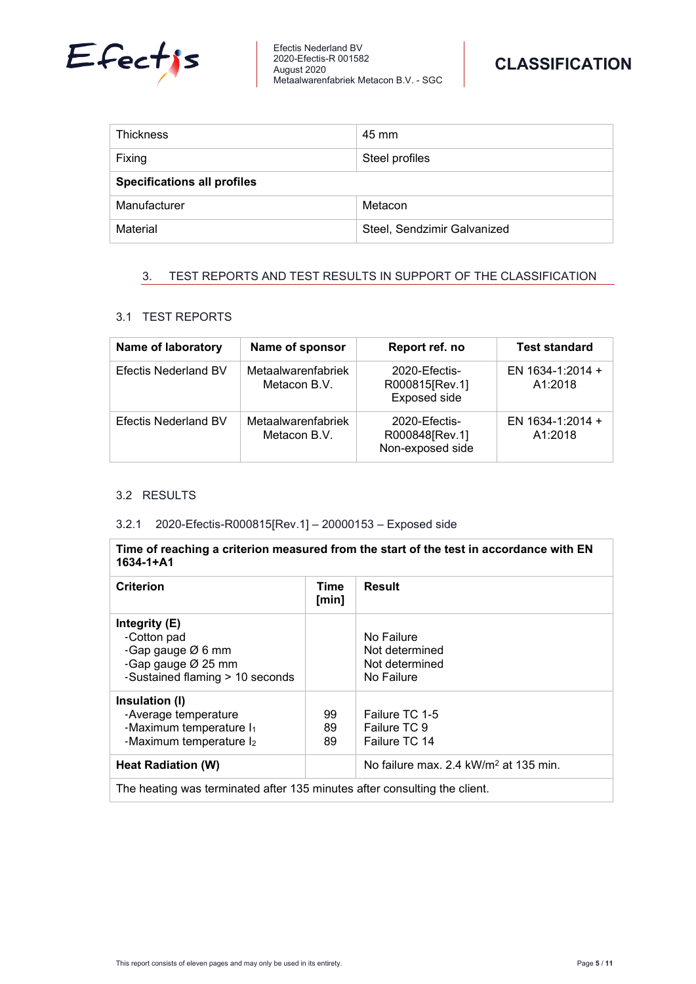



| <b>Thickness</b>                   | 45 mm                       |  |
|------------------------------------|-----------------------------|--|
| Fixing                             | Steel profiles              |  |
| <b>Specifications all profiles</b> |                             |  |
| Manufacturer                       | Metacon                     |  |
| Material                           | Steel, Sendzimir Galvanized |  |

# <span id="page-4-0"></span>3. TEST REPORTS AND TEST RESULTS IN SUPPORT OF THE CLASSIFICATION

# <span id="page-4-1"></span>3.1 TEST REPORTS

| Name of laboratory          | Name of sponsor                    | Report ref. no                                       | <b>Test standard</b>        |
|-----------------------------|------------------------------------|------------------------------------------------------|-----------------------------|
| <b>Efectis Nederland BV</b> | Metaalwarenfabriek<br>Metacon B.V. | 2020-Efectis-<br>R000815 [Rev.1]<br>Exposed side     | EN 1634-1:2014 +<br>A1:2018 |
| <b>Efectis Nederland BV</b> | Metaalwarenfabriek<br>Metacon B.V. | 2020-Efectis-<br>R000848 [Rev.1]<br>Non-exposed side | EN 1634-1:2014 +<br>A1:2018 |

# <span id="page-4-2"></span>3.2 RESULTS

# <span id="page-4-3"></span>3.2.1 2020-Efectis-R000815[Rev.1] – 20000153 – Exposed side

**Time of reaching a criterion measured from the start of the test in accordance with EN 1634-1+A1**

| <b>Criterion</b>                                                                                             | Time<br>[min]  | <b>Result</b>                                                |
|--------------------------------------------------------------------------------------------------------------|----------------|--------------------------------------------------------------|
| Integrity (E)<br>-Cotton pad<br>-Gap gauge $Ø$ 6 mm<br>-Gap gauge Ø 25 mm<br>-Sustained flaming > 10 seconds |                | No Failure<br>Not determined<br>Not determined<br>No Failure |
| Insulation (I)<br>-Average temperature<br>-Maximum temperature I <sub>1</sub><br>-Maximum temperature l2     | 99<br>89<br>89 | Failure TC 1-5<br>Failure TC 9<br>Failure TC 14              |
| Heat Radiation (W)                                                                                           |                | No failure max, 2.4 kW/m <sup>2</sup> at 135 min.            |
| The heating was terminated after 135 minutes after consulting the client.                                    |                |                                                              |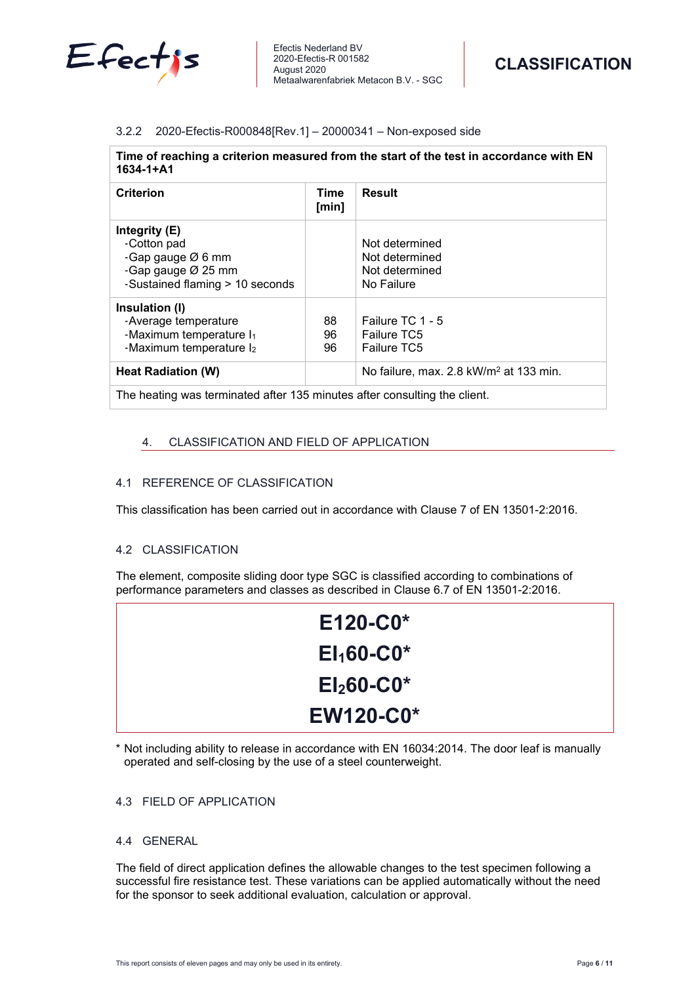

# <span id="page-5-0"></span>3.2.2 2020-Efectis-R000848[Rev.1] – 20000341 – Non-exposed side

| Time of reaching a criterion measured from the start of the test in accordance with EN |  |
|----------------------------------------------------------------------------------------|--|
| 1634-1+A1                                                                              |  |

| <b>Criterion</b>                                                                                               | Time<br>[min]  | <b>Result</b>                                                    |
|----------------------------------------------------------------------------------------------------------------|----------------|------------------------------------------------------------------|
| Integrity $(E)$<br>-Cotton pad<br>-Gap gauge $Ø$ 6 mm<br>-Gap gauge Ø 25 mm<br>-Sustained flaming > 10 seconds |                | Not determined<br>Not determined<br>Not determined<br>No Failure |
| Insulation (I)<br>-Average temperature<br>-Maximum temperature I <sub>1</sub><br>-Maximum temperature l2       | 88<br>96<br>96 | Failure TC 1 - 5<br><b>Failure TC5</b><br>Failure TC5            |
| Heat Radiation (W)                                                                                             |                | No failure, max. 2.8 kW/m <sup>2</sup> at 133 min.               |
|                                                                                                                |                |                                                                  |

<span id="page-5-1"></span>The heating was terminated after 135 minutes after consulting the client.

#### 4. CLASSIFICATION AND FIELD OF APPLICATION

### <span id="page-5-2"></span>4.1 REFERENCE OF CLASSIFICATION

<span id="page-5-3"></span>This classification has been carried out in accordance with Clause 7 of EN 13501-2:2016.

# 4.2 CLASSIFICATION

The element, composite sliding door type SGC is classified according to combinations of performance parameters and classes as described in Clause 6.7 of EN 13501-2:2016.

| $E120-C0*$       |  |
|------------------|--|
| $E1_160-C0*$     |  |
| $El260-C0*$      |  |
| <b>EW120-C0*</b> |  |

<span id="page-5-4"></span>\* Not including ability to release in accordance with EN 16034:2014. The door leaf is manually operated and self-closing by the use of a steel counterweight.

# 4.3 FIELD OF APPLICATION

# <span id="page-5-5"></span>4.4 GENERAL

The field of direct application defines the allowable changes to the test specimen following a successful fire resistance test. These variations can be applied automatically without the need for the sponsor to seek additional evaluation, calculation or approval.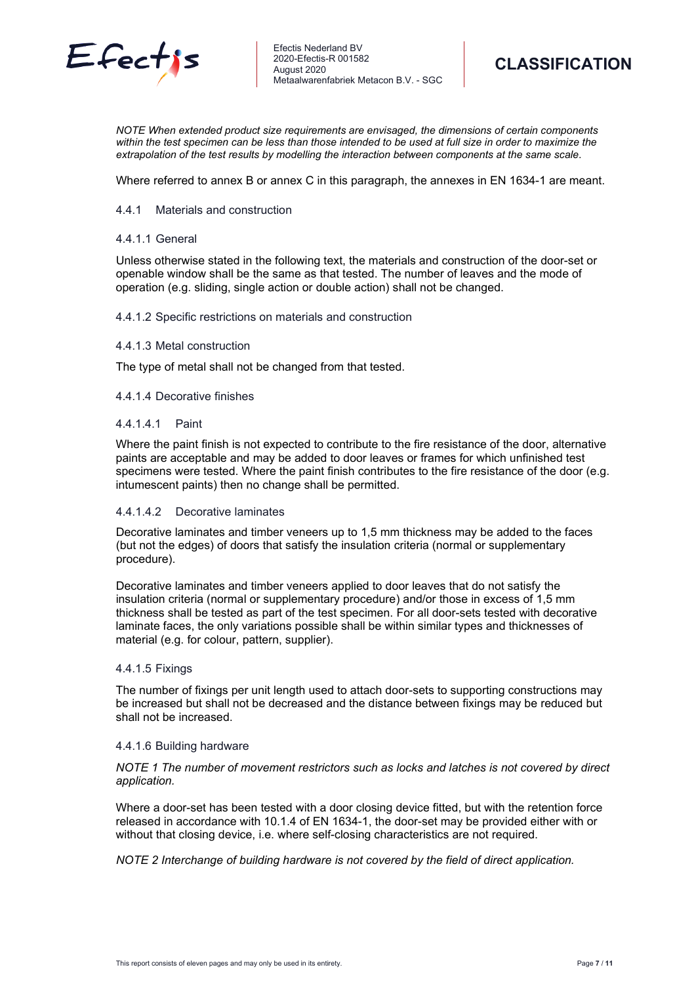



*NOTE When extended product size requirements are envisaged, the dimensions of certain components* within the test specimen can be less than those intended to be used at full size in order to maximize the *extrapolation of the test results by modelling the interaction between components at the same scale*.

<span id="page-6-0"></span>Where referred to annex B or annex C in this paragraph, the annexes in EN 1634-1 are meant.

#### 4.4.1 Materials and construction

#### 4.4.1.1 General

Unless otherwise stated in the following text, the materials and construction of the door-set or openable window shall be the same as that tested. The number of leaves and the mode of operation (e.g. sliding, single action or double action) shall not be changed.

#### 4.4.1.2 Specific restrictions on materials and construction

#### 4.4.1.3 Metal construction

The type of metal shall not be changed from that tested.

#### 4.4.1.4 Decorative finishes

#### 4.4.1.4.1 Paint

Where the paint finish is not expected to contribute to the fire resistance of the door, alternative paints are acceptable and may be added to door leaves or frames for which unfinished test specimens were tested. Where the paint finish contributes to the fire resistance of the door (e.g. intumescent paints) then no change shall be permitted.

#### 4.4.1.4.2 Decorative laminates

Decorative laminates and timber veneers up to 1,5 mm thickness may be added to the faces (but not the edges) of doors that satisfy the insulation criteria (normal or supplementary procedure).

Decorative laminates and timber veneers applied to door leaves that do not satisfy the insulation criteria (normal or supplementary procedure) and/or those in excess of 1,5 mm thickness shall be tested as part of the test specimen. For all door-sets tested with decorative laminate faces, the only variations possible shall be within similar types and thicknesses of material (e.g. for colour, pattern, supplier).

#### 4.4.1.5 Fixings

The number of fixings per unit length used to attach door-sets to supporting constructions may be increased but shall not be decreased and the distance between fixings may be reduced but shall not be increased.

#### 4.4.1.6 Building hardware

# *NOTE 1 The number of movement restrictors such as locks and latches is not covered by direct application.*

Where a door-set has been tested with a door closing device fitted, but with the retention force released in accordance with 10.1.4 of EN 1634-1, the door-set may be provided either with or without that closing device, i.e. where self-closing characteristics are not required.

*NOTE 2 Interchange of building hardware is not covered by the field of direct application.*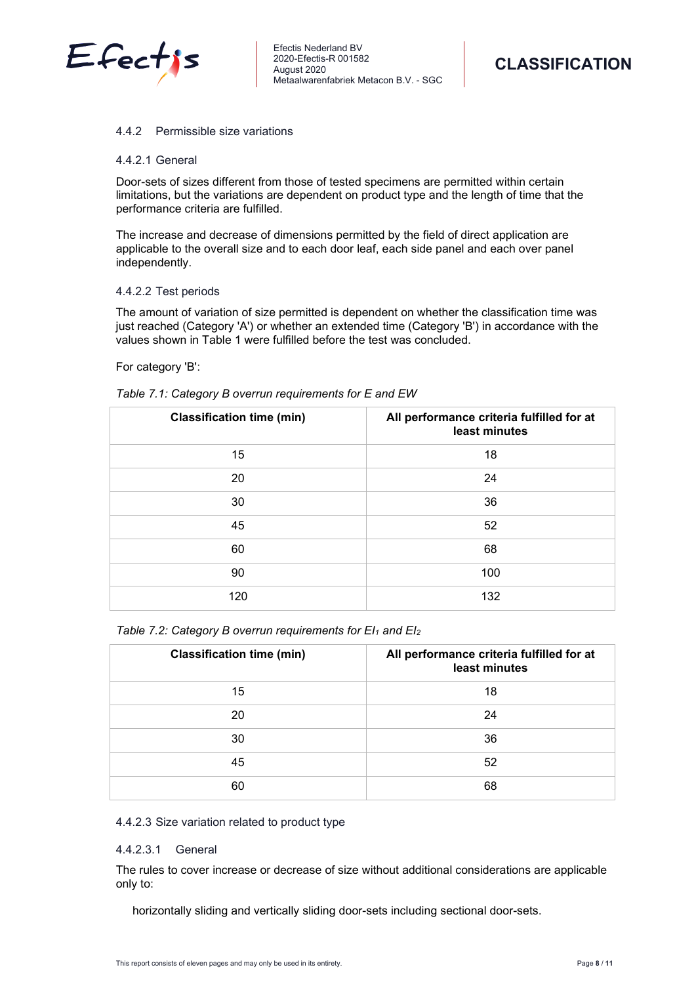

#### <span id="page-7-0"></span>4.4.2 Permissible size variations

#### 4.4.2.1 General

Door-sets of sizes different from those of tested specimens are permitted within certain limitations, but the variations are dependent on product type and the length of time that the performance criteria are fulfilled.

The increase and decrease of dimensions permitted by the field of direct application are applicable to the overall size and to each door leaf, each side panel and each over panel independently.

#### 4.4.2.2 Test periods

The amount of variation of size permitted is dependent on whether the classification time was just reached (Category 'A') or whether an extended time (Category 'B') in accordance with the values shown in Table 1 were fulfilled before the test was concluded.

#### For category 'B':

| <b>Classification time (min)</b> | All performance criteria fulfilled for at<br>least minutes |
|----------------------------------|------------------------------------------------------------|
| 15                               | 18                                                         |
| 20                               | 24                                                         |
| 30                               | 36                                                         |
| 45                               | 52                                                         |
| 60                               | 68                                                         |
| 90                               | 100                                                        |
| 120                              | 132                                                        |

| Table 7.2: Category B overrun requirements for $EI_1$ and $EI_2$ |  |
|------------------------------------------------------------------|--|
|------------------------------------------------------------------|--|

| <b>Classification time (min)</b> | All performance criteria fulfilled for at<br>least minutes |
|----------------------------------|------------------------------------------------------------|
| 15                               | 18                                                         |
| 20                               | 24                                                         |
| 30                               | 36                                                         |
| 45                               | 52                                                         |
| 60                               | 68                                                         |

#### 4.4.2.3 Size variation related to product type

# 4.4.2.3.1 General

The rules to cover increase or decrease of size without additional considerations are applicable only to:

horizontally sliding and vertically sliding door-sets including sectional door-sets.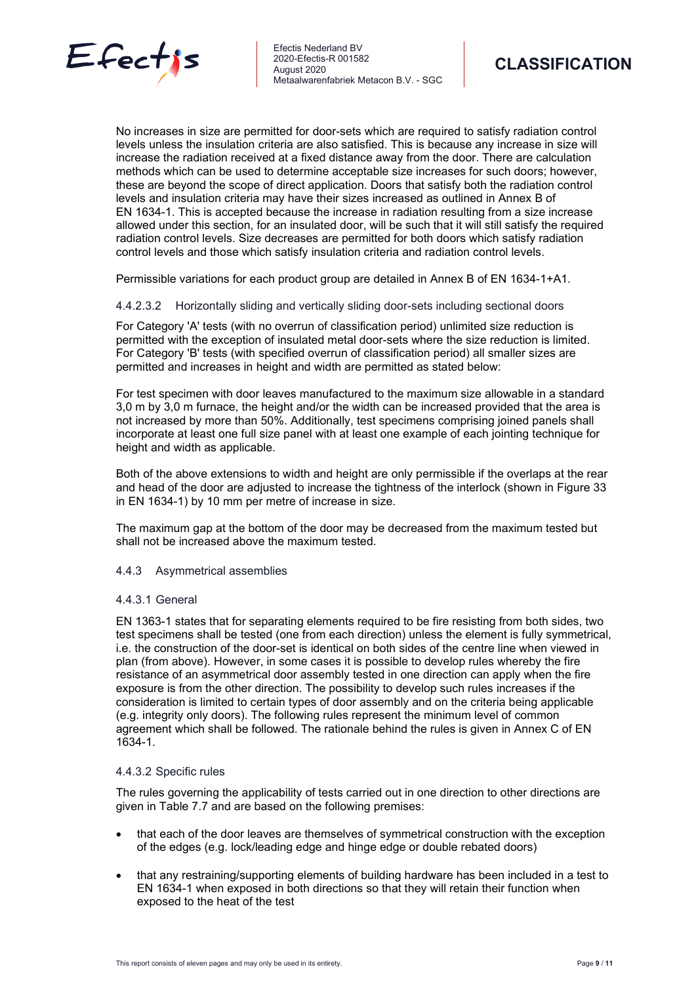

No increases in size are permitted for door-sets which are required to satisfy radiation control levels unless the insulation criteria are also satisfied. This is because any increase in size will increase the radiation received at a fixed distance away from the door. There are calculation methods which can be used to determine acceptable size increases for such doors; however, these are beyond the scope of direct application. Doors that satisfy both the radiation control levels and insulation criteria may have their sizes increased as outlined in Annex B of EN 1634-1. This is accepted because the increase in radiation resulting from a size increase allowed under this section, for an insulated door, will be such that it will still satisfy the required radiation control levels. Size decreases are permitted for both doors which satisfy radiation control levels and those which satisfy insulation criteria and radiation control levels.

Permissible variations for each product group are detailed in Annex B of EN 1634-1+A1.

# 4.4.2.3.2 Horizontally sliding and vertically sliding door-sets including sectional doors

For Category 'A' tests (with no overrun of classification period) unlimited size reduction is permitted with the exception of insulated metal door-sets where the size reduction is limited. For Category 'B' tests (with specified overrun of classification period) all smaller sizes are permitted and increases in height and width are permitted as stated below:

For test specimen with door leaves manufactured to the maximum size allowable in a standard 3,0 m by 3,0 m furnace, the height and/or the width can be increased provided that the area is not increased by more than 50%. Additionally, test specimens comprising joined panels shall incorporate at least one full size panel with at least one example of each jointing technique for height and width as applicable.

Both of the above extensions to width and height are only permissible if the overlaps at the rear and head of the door are adjusted to increase the tightness of the interlock (shown in Figure 33 in EN 1634-1) by 10 mm per metre of increase in size.

The maximum gap at the bottom of the door may be decreased from the maximum tested but shall not be increased above the maximum tested.

# <span id="page-8-0"></span>4.4.3 Asymmetrical assemblies

# 4.4.3.1 General

EN 1363-1 states that for separating elements required to be fire resisting from both sides, two test specimens shall be tested (one from each direction) unless the element is fully symmetrical, i.e. the construction of the door-set is identical on both sides of the centre line when viewed in plan (from above). However, in some cases it is possible to develop rules whereby the fire resistance of an asymmetrical door assembly tested in one direction can apply when the fire exposure is from the other direction. The possibility to develop such rules increases if the consideration is limited to certain types of door assembly and on the criteria being applicable (e.g. integrity only doors). The following rules represent the minimum level of common agreement which shall be followed. The rationale behind the rules is given in Annex C of EN 1634-1.

# 4.4.3.2 Specific rules

The rules governing the applicability of tests carried out in one direction to other directions are given in Table 7.7 and are based on the following premises:

- that each of the door leaves are themselves of symmetrical construction with the exception of the edges (e.g. lock/leading edge and hinge edge or double rebated doors)
- that any restraining/supporting elements of building hardware has been included in a test to EN 1634-1 when exposed in both directions so that they will retain their function when exposed to the heat of the test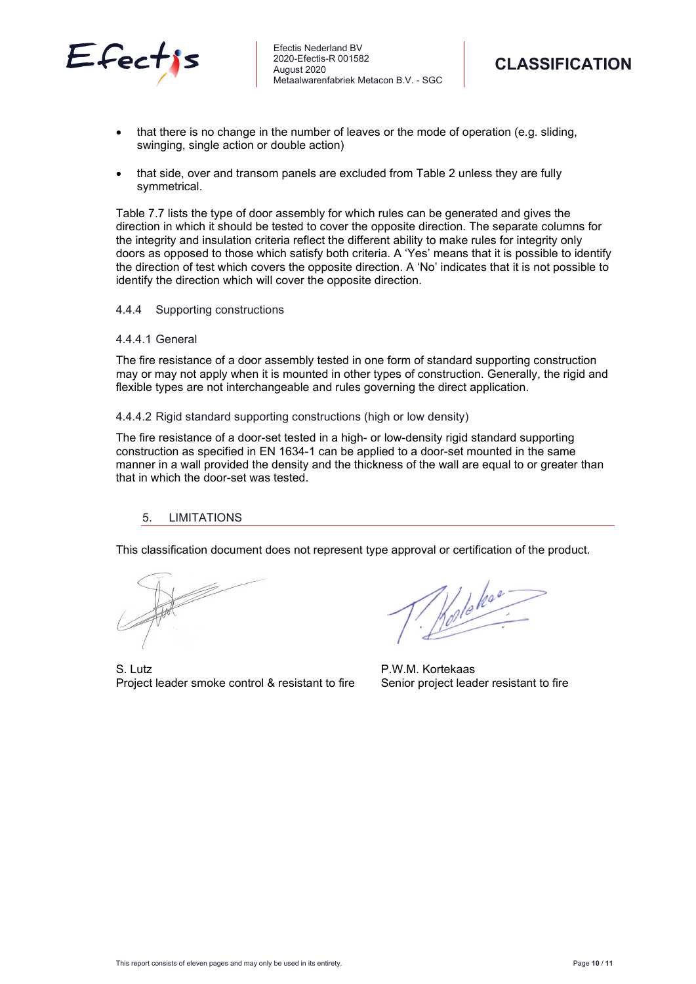



- that there is no change in the number of leaves or the mode of operation (e.g. sliding, swinging, single action or double action)
- that side, over and transom panels are excluded from Table 2 unless they are fully symmetrical.

Table 7.7 lists the type of door assembly for which rules can be generated and gives the direction in which it should be tested to cover the opposite direction. The separate columns for the integrity and insulation criteria reflect the different ability to make rules for integrity only doors as opposed to those which satisfy both criteria. A 'Yes' means that it is possible to identify the direction of test which covers the opposite direction. A 'No' indicates that it is not possible to identify the direction which will cover the opposite direction.

# <span id="page-9-0"></span>4.4.4 Supporting constructions

#### 4.4.4.1 General

The fire resistance of a door assembly tested in one form of standard supporting construction may or may not apply when it is mounted in other types of construction. Generally, the rigid and flexible types are not interchangeable and rules governing the direct application.

#### 4.4.4.2 Rigid standard supporting constructions (high or low density)

The fire resistance of a door-set tested in a high- or low-density rigid standard supporting construction as specified in EN 1634-1 can be applied to a door-set mounted in the same manner in a wall provided the density and the thickness of the wall are equal to or greater than that in which the door-set was tested.

# <span id="page-9-1"></span>5. LIMITATIONS

This classification document does not represent type approval or certification of the product.

S. Lutz **P.W.M. Kortekaas** Project leader smoke control & resistant to fire Senior project leader resistant to fire

Holoka